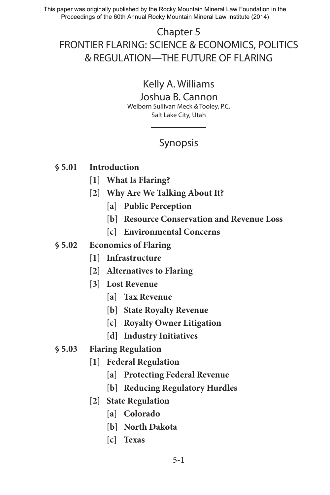This paper was originally published by the Rocky Mountain Mineral Law Foundation in the Proceedings of the 60th Annual Rocky Mountain Mineral Law Institute (2014)

# Chapter 5 FRONTIER FLARING: SCIENCE & ECONOMICS, POLITICS & REGULATION—THE FUTURE OF FLARING

# Kelly A. Williams

# Joshua B. Cannon

Welborn Sullivan Meck & Tooley, P.C. Salt Lake City, Utah

# Synopsis

# **§ 5.01 Introduction**

- **[1] What Is Flaring?**
- **[2] Why Are We Talking About It?**
	- **[a] Public Perception**
	- **[b] Resource Conservation and Revenue Loss**
	- **[c] Environmental Concerns**
- **§ 5.02 Economics of Flaring**
	- **[1] Infrastructure**
	- **[2] Alternatives to Flaring**
	- **[3] Lost Revenue**
		- **[a] Tax Revenue**
		- **[b] State Royalty Revenue**
		- **[c] Royalty Owner Litigation**
		- **[d] Industry Initiatives**
- **§ 5.03 Flaring Regulation**
	- **[1] Federal Regulation**
		- **[a] Protecting Federal Revenue**
		- **[b] Reducing Regulatory Hurdles**
	- **[2] State Regulation**
		- **[a] Colorado**
		- **[b] North Dakota**
		- **[c] Texas**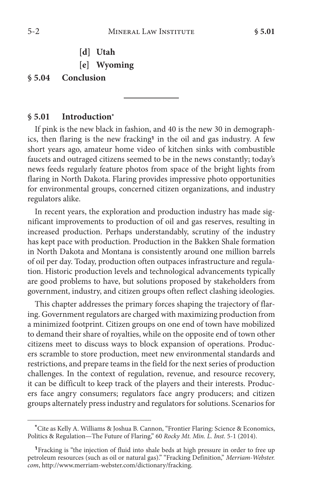- **[d] Utah**
- **[e] Wyoming**

### **§ 5.04 Conclusion**

#### **§ 5.01 Introduction\***

If pink is the new black in fashion, and 40 is the new 30 in demographics, then flaring is the new fracking**<sup>1</sup>** in the oil and gas industry. A few short years ago, amateur home video of kitchen sinks with combustible faucets and outraged citizens seemed to be in the news constantly; today's news feeds regularly feature photos from space of the bright lights from flaring in North Dakota. Flaring provides impressive photo opportunities for environmental groups, concerned citizen organizations, and industry regulators alike.

In recent years, the exploration and production industry has made significant improvements to production of oil and gas reserves, resulting in increased production. Perhaps understandably, scrutiny of the industry has kept pace with production. Production in the Bakken Shale formation in North Dakota and Montana is consistently around one million barrels of oil per day. Today, production often outpaces infrastructure and regulation. Historic production levels and technological advancements typically are good problems to have, but solutions proposed by stakeholders from government, industry, and citizen groups often reflect clashing ideologies.

This chapter addresses the primary forces shaping the trajectory of flaring. Government regulators are charged with maximizing production from a minimized footprint. Citizen groups on one end of town have mobilized to demand their share of royalties, while on the opposite end of town other citizens meet to discuss ways to block expansion of operations. Producers scramble to store production, meet new environmental standards and restrictions, and prepare teams in the field for the next series of production challenges. In the context of regulation, revenue, and resource recovery, it can be difficult to keep track of the players and their interests. Producers face angry consumers; regulators face angry producers; and citizen groups alternately press industry and regulators for solutions. Scenarios for

**<sup>\*</sup>**Cite as Kelly A. Williams & Joshua B. Cannon, "Frontier Flaring: Science & Economics, Politics & Regulation—The Future of Flaring," 60 *Rocky Mt. Min. L. Inst.* 5-1 (2014).

**<sup>1</sup>**Fracking is "the injection of fluid into shale beds at high pressure in order to free up petroleum resources (such as oil or natural gas)." "Fracking Definition," *Merriam-Webster. com*, http://www.merriam-webster.com/dictionary/fracking.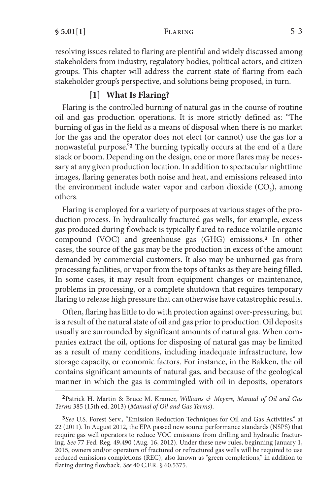resolving issues related to flaring are plentiful and widely discussed among stakeholders from industry, regulatory bodies, political actors, and citizen groups. This chapter will address the current state of flaring from each stakeholder group's perspective, and solutions being proposed, in turn.

## **[1] What Is Flaring?**

Flaring is the controlled burning of natural gas in the course of routine oil and gas production operations. It is more strictly defined as: "The burning of gas in the field as a means of disposal when there is no market for the gas and the operator does not elect (or cannot) use the gas for a nonwasteful purpose."**<sup>2</sup>** The burning typically occurs at the end of a flare stack or boom. Depending on the design, one or more flares may be necessary at any given production location. In addition to spectacular nighttime images, flaring generates both noise and heat, and emissions released into the environment include water vapor and carbon dioxide  $(CO<sub>2</sub>)$ , among others.

Flaring is employed for a variety of purposes at various stages of the production process. In hydraulically fractured gas wells, for example, excess gas produced during flowback is typically flared to reduce volatile organic compound (VOC) and greenhouse gas (GHG) emissions.**<sup>3</sup>** In other cases, the source of the gas may be the production in excess of the amount demanded by commercial customers. It also may be unburned gas from processing facilities, or vapor from the tops of tanks as they are being filled. In some cases, it may result from equipment changes or maintenance, problems in processing, or a complete shutdown that requires temporary flaring to release high pressure that can otherwise have catastrophic results.

Often, flaring has little to do with protection against over-pressuring, but is a result of the natural state of oil and gas prior to production. Oil deposits usually are surrounded by significant amounts of natural gas. When companies extract the oil, options for disposing of natural gas may be limited as a result of many conditions, including inadequate infrastructure, low storage capacity, or economic factors. For instance, in the Bakken, the oil contains significant amounts of natural gas, and because of the geological manner in which the gas is commingled with oil in deposits, operators

**<sup>2</sup>**Patrick H. Martin & Bruce M. Kramer, *Williams & Meyers*, *Manual of Oil and Gas Terms* 385 (15th ed. 2013) (*Manual of Oil and Gas Terms*).

**<sup>3</sup>***See* U.S. Forest Serv., "Emission Reduction Techniques for Oil and Gas Activities," at 22 (2011). In August 2012, the EPA passed new source performance standards (NSPS) that require gas well operators to reduce VOC emissions from drilling and hydraulic fracturing. *See* 77 Fed. Reg. 49,490 (Aug. 16, 2012). Under these new rules, beginning January 1, 2015, owners and/or operators of fractured or refractured gas wells will be required to use reduced emissions completions (REC), also known as "green completions," in addition to flaring during flowback. *See* 40 C.F.R. § 60.5375.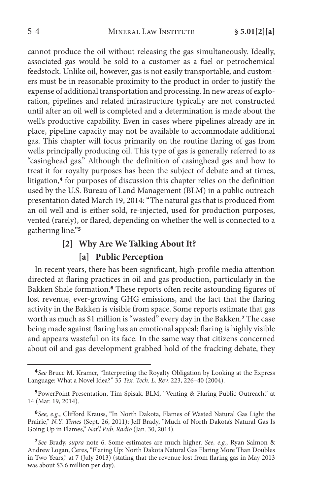cannot produce the oil without releasing the gas simultaneously. Ideally, associated gas would be sold to a customer as a fuel or petrochemical feedstock. Unlike oil, however, gas is not easily transportable, and customers must be in reasonable proximity to the product in order to justify the expense of additional transportation and processing. In new areas of exploration, pipelines and related infrastructure typically are not constructed until after an oil well is completed and a determination is made about the well's productive capability. Even in cases where pipelines already are in place, pipeline capacity may not be available to accommodate additional gas. This chapter will focus primarily on the routine flaring of gas from wells principally producing oil. This type of gas is generally referred to as "casinghead gas." Although the definition of casinghead gas and how to treat it for royalty purposes has been the subject of debate and at times, litigation,**<sup>4</sup>** for purposes of discussion this chapter relies on the definition used by the U.S. Bureau of Land Management (BLM) in a public outreach presentation dated March 19, 2014: "The natural gas that is produced from an oil well and is either sold, re-injected, used for production purposes, vented (rarely), or flared, depending on whether the well is connected to a gathering line."**<sup>5</sup>**

# **[2] Why Are We Talking About It? [a] Public Perception**

In recent years, there has been significant, high-profile media attention directed at flaring practices in oil and gas production, particularly in the Bakken Shale formation.**<sup>6</sup>** These reports often recite astounding figures of lost revenue, ever-growing GHG emissions, and the fact that the flaring activity in the Bakken is visible from space. Some reports estimate that gas worth as much as \$1 million is "wasted" every day in the Bakken.**<sup>7</sup>** The case being made against flaring has an emotional appeal: flaring is highly visible and appears wasteful on its face. In the same way that citizens concerned about oil and gas development grabbed hold of the fracking debate, they

**<sup>4</sup>***See* Bruce M. Kramer, "Interpreting the Royalty Obligation by Looking at the Express Language: What a Novel Idea?" 35 *Tex. Tech. L. Rev.* 223, 226–40 (2004).

**<sup>5</sup>**PowerPoint Presentation, Tim Spisak, BLM, "Venting & Flaring Public Outreach," at 14 (Mar. 19, 2014).

**<sup>6</sup>***See, e.g.*, Clifford Krauss, "In North Dakota, Flames of Wasted Natural Gas Light the Prairie," *N.Y. Times* (Sept. 26, 2011); Jeff Brady, "Much of North Dakota's Natural Gas Is Going Up in Flames," *Nat'l Pub. Radio* (Jan. 30, 2014).

**<sup>7</sup>***See* Brady, *supra* note 6. Some estimates are much higher. *See, e.g.*, Ryan Salmon & Andrew Logan, Ceres, "Flaring Up: North Dakota Natural Gas Flaring More Than Doubles in Two Years," at 7 (July 2013) (stating that the revenue lost from flaring gas in May 2013 was about \$3.6 million per day).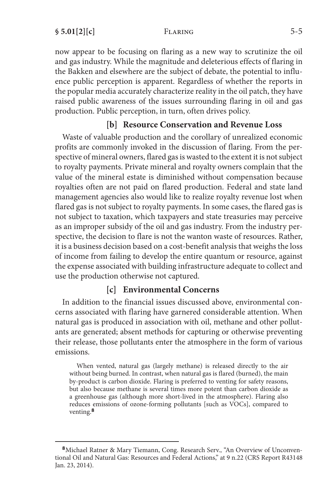now appear to be focusing on flaring as a new way to scrutinize the oil and gas industry. While the magnitude and deleterious effects of flaring in the Bakken and elsewhere are the subject of debate, the potential to influence public perception is apparent. Regardless of whether the reports in the popular media accurately characterize reality in the oil patch, they have raised public awareness of the issues surrounding flaring in oil and gas production. Public perception, in turn, often drives policy.

# **[b] Resource Conservation and Revenue Loss**

Waste of valuable production and the corollary of unrealized economic profits are commonly invoked in the discussion of flaring. From the perspective of mineral owners, flared gas is wasted to the extent it is not subject to royalty payments. Private mineral and royalty owners complain that the value of the mineral estate is diminished without compensation because royalties often are not paid on flared production. Federal and state land management agencies also would like to realize royalty revenue lost when flared gas is not subject to royalty payments. In some cases, the flared gas is not subject to taxation, which taxpayers and state treasuries may perceive as an improper subsidy of the oil and gas industry. From the industry perspective, the decision to flare is not the wanton waste of resources. Rather, it is a business decision based on a cost-benefit analysis that weighs the loss of income from failing to develop the entire quantum or resource, against the expense associated with building infrastructure adequate to collect and use the production otherwise not captured.

# **[c] Environmental Concerns**

In addition to the financial issues discussed above, environmental concerns associated with flaring have garnered considerable attention. When natural gas is produced in association with oil, methane and other pollutants are generated; absent methods for capturing or otherwise preventing their release, those pollutants enter the atmosphere in the form of various emissions.

When vented, natural gas (largely methane) is released directly to the air without being burned. In contrast, when natural gas is flared (burned), the main by-product is carbon dioxide. Flaring is preferred to venting for safety reasons, but also because methane is several times more potent than carbon dioxide as a greenhouse gas (although more short-lived in the atmosphere). Flaring also reduces emissions of ozone-forming pollutants [such as VOCs], compared to venting.**<sup>8</sup>**

**<sup>8</sup>**Michael Ratner & Mary Tiemann, Cong. Research Serv., "An Overview of Unconventional Oil and Natural Gas: Resources and Federal Actions," at 9 n.22 (CRS Report R43148 Jan. 23, 2014).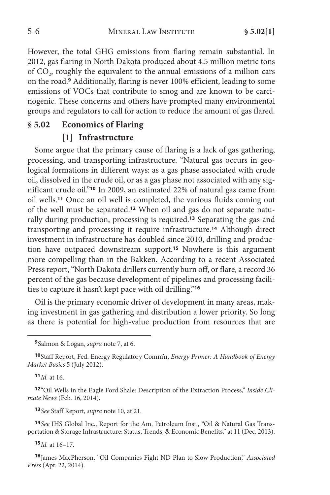However, the total GHG emissions from flaring remain substantial. In 2012, gas flaring in North Dakota produced about 4.5 million metric tons of CO<sub>2</sub>, roughly the equivalent to the annual emissions of a million cars on the road.**<sup>9</sup>** Additionally, flaring is never 100% efficient, leading to some emissions of VOCs that contribute to smog and are known to be carcinogenic. These concerns and others have prompted many environmental groups and regulators to call for action to reduce the amount of gas flared.

# **§ 5.02 Economics of Flaring**

#### **[1] Infrastructure**

Some argue that the primary cause of flaring is a lack of gas gathering, processing, and transporting infrastructure. "Natural gas occurs in geological formations in different ways: as a gas phase associated with crude oil, dissolved in the crude oil, or as a gas phase not associated with any significant crude oil."**<sup>10</sup>** In 2009, an estimated 22% of natural gas came from oil wells.**<sup>11</sup>** Once an oil well is completed, the various fluids coming out of the well must be separated.**12** When oil and gas do not separate naturally during production, processing is required.**<sup>13</sup>** Separating the gas and transporting and processing it require infrastructure.**<sup>14</sup>** Although direct investment in infrastructure has doubled since 2010, drilling and production have outpaced downstream support.**<sup>15</sup>** Nowhere is this argument more compelling than in the Bakken. According to a recent Associated Press report, "North Dakota drillers currently burn off, or flare, a record 36 percent of the gas because development of pipelines and processing facilities to capture it hasn't kept pace with oil drilling."**<sup>16</sup>**

Oil is the primary economic driver of development in many areas, making investment in gas gathering and distribution a lower priority. So long as there is potential for high-value production from resources that are

**<sup>11</sup>***Id.* at 16.

**<sup>12</sup>**"Oil Wells in the Eagle Ford Shale: Description of the Extraction Process," *Inside Climate News* (Feb. 16, 2014).

**<sup>13</sup>***See* Staff Report, *supra* note 10, at 21.

**<sup>14</sup>***See* IHS Global Inc., Report for the Am. Petroleum Inst., "Oil & Natural Gas Transportation & Storage Infrastructure: Status, Trends, & Economic Benefits," at 11 (Dec. 2013).

**<sup>15</sup>***Id.* at 16–17.

**<sup>16</sup>**James MacPherson, "Oil Companies Fight ND Plan to Slow Production," *Associated Press* (Apr. 22, 2014).

**<sup>9</sup>**Salmon & Logan, *supra* note 7, at 6.

**<sup>10</sup>**Staff Report, Fed. Energy Regulatory Comm'n, *Energy Primer: A Handbook of Energy Market Basics* 5 (July 2012).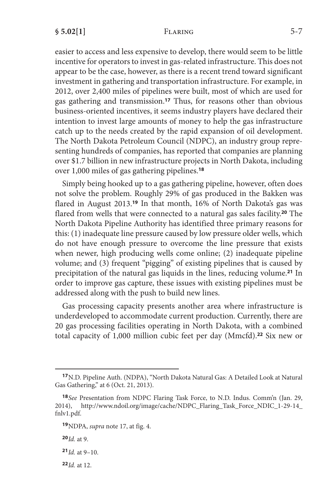easier to access and less expensive to develop, there would seem to be little incentive for operators to invest in gas-related infrastructure. This does not appear to be the case, however, as there is a recent trend toward significant investment in gathering and transportation infrastructure. For example, in 2012, over 2,400 miles of pipelines were built, most of which are used for gas gathering and transmission.**<sup>17</sup>** Thus, for reasons other than obvious business-oriented incentives, it seems industry players have declared their intention to invest large amounts of money to help the gas infrastructure catch up to the needs created by the rapid expansion of oil development. The North Dakota Petroleum Council (NDPC), an industry group representing hundreds of companies, has reported that companies are planning over \$1.7 billion in new infrastructure projects in North Dakota, including over 1,000 miles of gas gathering pipelines.**<sup>18</sup>**

Simply being hooked up to a gas gathering pipeline, however, often does not solve the problem. Roughly 29% of gas produced in the Bakken was flared in August 2013.**<sup>19</sup>** In that month, 16% of North Dakota's gas was flared from wells that were connected to a natural gas sales facility.**<sup>20</sup>** The North Dakota Pipeline Authority has identified three primary reasons for this: (1) inadequate line pressure caused by low pressure older wells, which do not have enough pressure to overcome the line pressure that exists when newer, high producing wells come online; (2) inadequate pipeline volume; and (3) frequent "pigging" of existing pipelines that is caused by precipitation of the natural gas liquids in the lines, reducing volume.**<sup>21</sup>** In order to improve gas capture, these issues with existing pipelines must be addressed along with the push to build new lines.

Gas processing capacity presents another area where infrastructure is underdeveloped to accommodate current production. Currently, there are 20 gas processing facilities operating in North Dakota, with a combined total capacity of 1,000 million cubic feet per day (Mmcfd).**<sup>22</sup>** Six new or

**<sup>22</sup>***Id.* at 12.

**<sup>17</sup>**N.D. Pipeline Auth. (NDPA), "North Dakota Natural Gas: A Detailed Look at Natural Gas Gathering," at 6 (Oct. 21, 2013).

**<sup>18</sup>***See* Presentation from NDPC Flaring Task Force, to N.D. Indus. Comm'n (Jan. 29, 2014), http://www.ndoil.org/image/cache/NDPC\_Flaring\_Task\_Force\_NDIC\_1-29-14\_ fnlv1.pdf.

**<sup>19</sup>**NDPA, *supra* note 17, at fig. 4.

**<sup>20</sup>***Id.* at 9.

**<sup>21</sup>***Id.* at 9–10.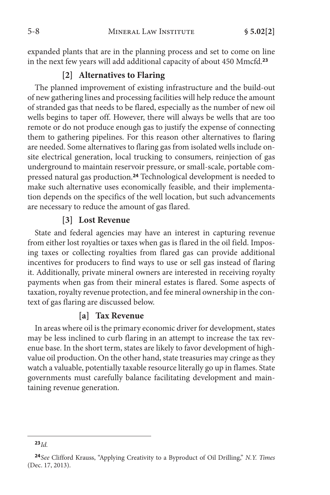expanded plants that are in the planning process and set to come on line in the next few years will add additional capacity of about 450 Mmcfd.**<sup>23</sup>**

### **[2] Alternatives to Flaring**

The planned improvement of existing infrastructure and the build-out of new gathering lines and processing facilities will help reduce the amount of stranded gas that needs to be flared, especially as the number of new oil wells begins to taper off. However, there will always be wells that are too remote or do not produce enough gas to justify the expense of connecting them to gathering pipelines. For this reason other alternatives to flaring are needed. Some alternatives to flaring gas from isolated wells include onsite electrical generation, local trucking to consumers, reinjection of gas underground to maintain reservoir pressure, or small-scale, portable compressed natural gas production.**<sup>24</sup>** Technological development is needed to make such alternative uses economically feasible, and their implementation depends on the specifics of the well location, but such advancements are necessary to reduce the amount of gas flared.

### **[3] Lost Revenue**

State and federal agencies may have an interest in capturing revenue from either lost royalties or taxes when gas is flared in the oil field. Imposing taxes or collecting royalties from flared gas can provide additional incentives for producers to find ways to use or sell gas instead of flaring it. Additionally, private mineral owners are interested in receiving royalty payments when gas from their mineral estates is flared. Some aspects of taxation, royalty revenue protection, and fee mineral ownership in the context of gas flaring are discussed below.

#### **[a] Tax Revenue**

In areas where oil is the primary economic driver for development, states may be less inclined to curb flaring in an attempt to increase the tax revenue base. In the short term, states are likely to favor development of highvalue oil production. On the other hand, state treasuries may cringe as they watch a valuable, potentially taxable resource literally go up in flames. State governments must carefully balance facilitating development and maintaining revenue generation.

**<sup>23</sup>***Id.*

**<sup>24</sup>***See* Clifford Krauss, "Applying Creativity to a Byproduct of Oil Drilling," *N.Y. Times* (Dec. 17, 2013).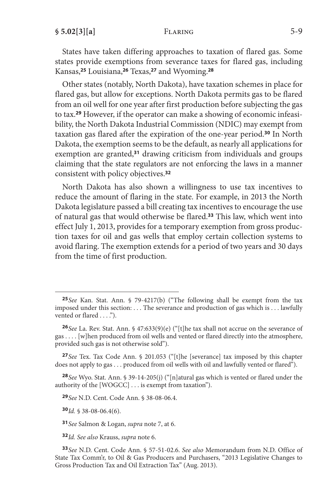States have taken differing approaches to taxation of flared gas. Some states provide exemptions from severance taxes for flared gas, including Kansas,**<sup>25</sup>** Louisiana,**<sup>26</sup>** Texas,**<sup>27</sup>** and Wyoming.**<sup>28</sup>**

Other states (notably, North Dakota), have taxation schemes in place for flared gas, but allow for exceptions. North Dakota permits gas to be flared from an oil well for one year after first production before subjecting the gas to tax.**29** However, if the operator can make a showing of economic infeasibility, the North Dakota Industrial Commission (NDIC) may exempt from taxation gas flared after the expiration of the one-year period.**<sup>30</sup>** In North Dakota, the exemption seems to be the default, as nearly all applications for exemption are granted,**<sup>31</sup>** drawing criticism from individuals and groups claiming that the state regulators are not enforcing the laws in a manner consistent with policy objectives.**<sup>32</sup>**

North Dakota has also shown a willingness to use tax incentives to reduce the amount of flaring in the state. For example, in 2013 the North Dakota legislature passed a bill creating tax incentives to encourage the use of natural gas that would otherwise be flared.**<sup>33</sup>** This law, which went into effect July 1, 2013, provides for a temporary exemption from gross production taxes for oil and gas wells that employ certain collection systems to avoid flaring. The exemption extends for a period of two years and 30 days from the time of first production.

**<sup>28</sup>***See* Wyo. Stat. Ann. § 39-14-205(j) ("[n]atural gas which is vented or flared under the authority of the [WOGCC] . . . is exempt from taxation").

**<sup>29</sup>***See* N.D. Cent. Code Ann. § 38-08-06.4.

**<sup>30</sup>***Id.* § 38-08-06.4(6).

**<sup>31</sup>***See* Salmon & Logan, *supra* note 7, at 6.

**<sup>32</sup>***Id. See also* Krauss, *supra* note 6.

**<sup>25</sup>***See* Kan. Stat. Ann. § 79-4217(b) ("The following shall be exempt from the tax imposed under this section: . . . The severance and production of gas which is . . . lawfully vented or flared . . . .").

**<sup>26</sup>***See* La. Rev. Stat. Ann. § 47:633(9)(e) ("[t]he tax shall not accrue on the severance of gas . . . . [w]hen produced from oil wells and vented or flared directly into the atmosphere, provided such gas is not otherwise sold").

**<sup>27</sup>***See* Tex. Tax Code Ann. § 201.053 ("[t]he [severance] tax imposed by this chapter does not apply to gas . . . produced from oil wells with oil and lawfully vented or flared").

**<sup>33</sup>***See* N.D. Cent. Code Ann. § 57-51-02.6. *See also* Memorandum from N.D. Office of State Tax Comm'r, to Oil & Gas Producers and Purchasers, "2013 Legislative Changes to Gross Production Tax and Oil Extraction Tax" (Aug. 2013).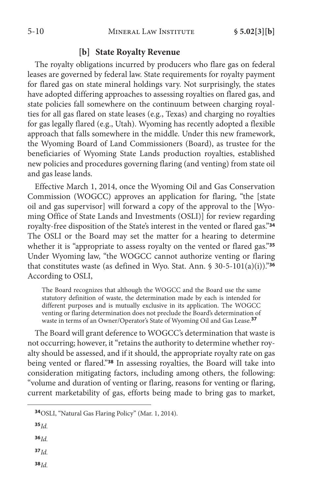### **[b] State Royalty Revenue**

The royalty obligations incurred by producers who flare gas on federal leases are governed by federal law. State requirements for royalty payment for flared gas on state mineral holdings vary. Not surprisingly, the states have adopted differing approaches to assessing royalties on flared gas, and state policies fall somewhere on the continuum between charging royalties for all gas flared on state leases (e.g., Texas) and charging no royalties for gas legally flared (e.g., Utah). Wyoming has recently adopted a flexible approach that falls somewhere in the middle. Under this new framework, the Wyoming Board of Land Commissioners (Board), as trustee for the beneficiaries of Wyoming State Lands production royalties, established new policies and procedures governing flaring (and venting) from state oil and gas lease lands.

Effective March 1, 2014, once the Wyoming Oil and Gas Conservation Commission (WOGCC) approves an application for flaring, "the [state oil and gas supervisor] will forward a copy of the approval to the [Wyoming Office of State Lands and Investments (OSLI)] for review regarding royalty-free disposition of the State's interest in the vented or flared gas."**<sup>34</sup>** The OSLI or the Board may set the matter for a hearing to determine whether it is "appropriate to assess royalty on the vented or flared gas."**<sup>35</sup>** Under Wyoming law, "the WOGCC cannot authorize venting or flaring that constitutes waste (as defined in Wyo. Stat. Ann. § 30-5-101(a)(i))."**<sup>36</sup>** According to OSLI,

The Board recognizes that although the WOGCC and the Board use the same statutory definition of waste, the determination made by each is intended for different purposes and is mutually exclusive in its application. The WOGCC venting or flaring determination does not preclude the Board's determination of waste in terms of an Owner/Operator's State of Wyoming Oil and Gas Lease.**<sup>37</sup>**

The Board will grant deference to WOGCC's determination that waste is not occurring; however, it "retains the authority to determine whether royalty should be assessed, and if it should, the appropriate royalty rate on gas being vented or flared."**<sup>38</sup>** In assessing royalties, the Board will take into consideration mitigating factors, including among others, the following: "volume and duration of venting or flaring, reasons for venting or flaring, current marketability of gas, efforts being made to bring gas to market,

- **<sup>34</sup>**OSLI, "Natural Gas Flaring Policy" (Mar. 1, 2014).
- **<sup>35</sup>***Id.*

**<sup>36</sup>***Id.*

**<sup>37</sup>***Id.*

**<sup>38</sup>***Id.*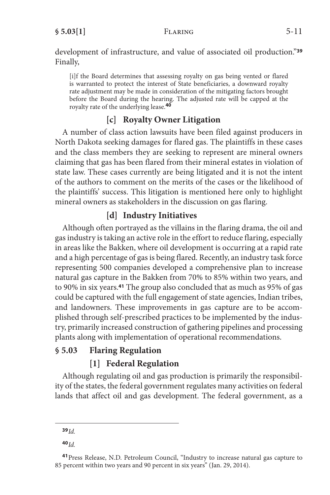development of infrastructure, and value of associated oil production."**<sup>39</sup>** Finally,

[i]f the Board determines that assessing royalty on gas being vented or flared is warranted to protect the interest of State beneficiaries, a downward royalty rate adjustment may be made in consideration of the mitigating factors brought before the Board during the hearing. The adjusted rate will be capped at the royalty rate of the underlying lease.**<sup>40</sup>**

# **[c] Royalty Owner Litigation**

A number of class action lawsuits have been filed against producers in North Dakota seeking damages for flared gas. The plaintiffs in these cases and the class members they are seeking to represent are mineral owners claiming that gas has been flared from their mineral estates in violation of state law. These cases currently are being litigated and it is not the intent of the authors to comment on the merits of the cases or the likelihood of the plaintiffs' success. This litigation is mentioned here only to highlight mineral owners as stakeholders in the discussion on gas flaring.

# **[d] Industry Initiatives**

Although often portrayed as the villains in the flaring drama, the oil and gas industry is taking an active role in the effort to reduce flaring, especially in areas like the Bakken, where oil development is occurring at a rapid rate and a high percentage of gas is being flared. Recently, an industry task force representing 500 companies developed a comprehensive plan to increase natural gas capture in the Bakken from 70% to 85% within two years, and to 90% in six years.**<sup>41</sup>** The group also concluded that as much as 95% of gas could be captured with the full engagement of state agencies, Indian tribes, and landowners. These improvements in gas capture are to be accomplished through self-prescribed practices to be implemented by the industry, primarily increased construction of gathering pipelines and processing plants along with implementation of operational recommendations.

# **§ 5.03 Flaring Regulation**

# **[1] Federal Regulation**

Although regulating oil and gas production is primarily the responsibility of the states, the federal government regulates many activities on federal lands that affect oil and gas development. The federal government, as a

**<sup>39</sup>***Id.*

**<sup>40</sup>***Id.*

**<sup>41</sup>**Press Release, N.D. Petroleum Council, "Industry to increase natural gas capture to 85 percent within two years and 90 percent in six years" (Jan. 29, 2014).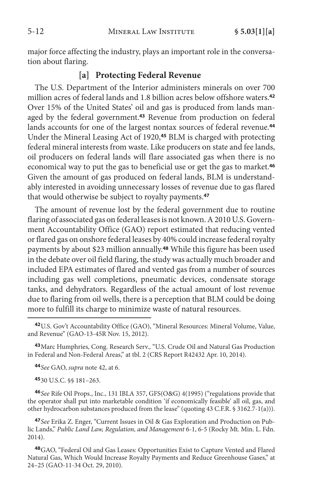major force affecting the industry, plays an important role in the conversation about flaring.

### **[a] Protecting Federal Revenue**

The U.S. Department of the Interior administers minerals on over 700 million acres of federal lands and 1.8 billion acres below offshore waters.**<sup>42</sup>** Over 15% of the United States' oil and gas is produced from lands managed by the federal government.**<sup>43</sup>** Revenue from production on federal lands accounts for one of the largest nontax sources of federal revenue.**<sup>44</sup>** Under the Mineral Leasing Act of 1920,**<sup>45</sup>** BLM is charged with protecting federal mineral interests from waste. Like producers on state and fee lands, oil producers on federal lands will flare associated gas when there is no economical way to put the gas to beneficial use or get the gas to market.**<sup>46</sup>** Given the amount of gas produced on federal lands, BLM is understandably interested in avoiding unnecessary losses of revenue due to gas flared that would otherwise be subject to royalty payments.**<sup>47</sup>**

The amount of revenue lost by the federal government due to routine flaring of associated gas on federal leases is not known. A 2010 U.S. Government Accountability Office (GAO) report estimated that reducing vented or flared gas on onshore federal leases by 40% could increase federal royalty payments by about \$23 million annually.**<sup>48</sup>** While this figure has been used in the debate over oil field flaring, the study was actually much broader and included EPA estimates of flared and vented gas from a number of sources including gas well completions, pneumatic devices, condensate storage tanks, and dehydrators. Regardless of the actual amount of lost revenue due to flaring from oil wells, there is a perception that BLM could be doing more to fulfill its charge to minimize waste of natural resources.

**<sup>43</sup>**Marc Humphries, Cong. Research Serv., "U.S. Crude Oil and Natural Gas Production in Federal and Non-Federal Areas," at tbl. 2 (CRS Report R42432 Apr. 10, 2014).

**<sup>44</sup>***See* GAO, *supra* note 42, at 6.

**<sup>45</sup>**30 U.S.C. §§ 181–263.

**<sup>46</sup>***See* Rife Oil Props., Inc., 131 IBLA 357, GFS(O&G) 4(1995) ("regulations provide that the operator shall put into marketable condition 'if economically feasible' all oil, gas, and other hydrocarbon substances produced from the lease" (quoting 43 C.F.R. § 3162.7-1(a))).

**<sup>47</sup>***See* Erika Z. Enger, "Current Issues in Oil & Gas Exploration and Production on Public Lands," *Public Land Law, Regulation, and Management* 6-1, 6-5 (Rocky Mt. Min. L. Fdn. 2014).

**<sup>48</sup>**GAO, "Federal Oil and Gas Leases: Opportunities Exist to Capture Vented and Flared Natural Gas, Which Would Increase Royalty Payments and Reduce Greenhouse Gases," at 24–25 (GAO-11-34 Oct. 29, 2010).

**<sup>42</sup>**U.S. Gov't Accountability Office (GAO), "Mineral Resources: Mineral Volume, Value, and Revenue" (GAO-13-45R Nov. 15, 2012).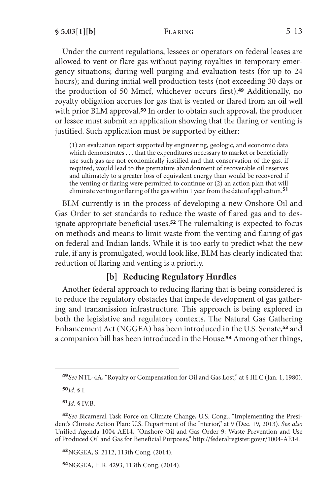Under the current regulations, lessees or operators on federal leases are allowed to vent or flare gas without paying royalties in temporary emergency situations; during well purging and evaluation tests (for up to 24 hours); and during initial well production tests (not exceeding 30 days or the production of 50 Mmcf, whichever occurs first).**<sup>49</sup>** Additionally, no royalty obligation accrues for gas that is vented or flared from an oil well with prior BLM approval.**<sup>50</sup>** In order to obtain such approval, the producer or lessee must submit an application showing that the flaring or venting is justified. Such application must be supported by either:

(1) an evaluation report supported by engineering, geologic, and economic data which demonstrates . . . that the expenditures necessary to market or beneficially use such gas are not economically justified and that conservation of the gas, if required, would lead to the premature abandonment of recoverable oil reserves and ultimately to a greater loss of equivalent energy than would be recovered if the venting or flaring were permitted to continue or (2) an action plan that will eliminate venting or flaring of the gas within 1 year from the date of application.**<sup>51</sup>**

BLM currently is in the process of developing a new Onshore Oil and Gas Order to set standards to reduce the waste of flared gas and to designate appropriate beneficial uses.**<sup>52</sup>** The rulemaking is expected to focus on methods and means to limit waste from the venting and flaring of gas on federal and Indian lands. While it is too early to predict what the new rule, if any is promulgated, would look like, BLM has clearly indicated that reduction of flaring and venting is a priority.

# **[b] Reducing Regulatory Hurdles**

Another federal approach to reducing flaring that is being considered is to reduce the regulatory obstacles that impede development of gas gathering and transmission infrastructure. This approach is being explored in both the legislative and regulatory contexts. The Natural Gas Gathering Enhancement Act (NGGEA) has been introduced in the U.S. Senate,**<sup>53</sup>** and a companion bill has been introduced in the House.**<sup>54</sup>** Among other things,

**<sup>50</sup>***Id.* § I.

**<sup>51</sup>***Id.* § IV.B.

**<sup>53</sup>**NGGEA, S. 2112, 113th Cong. (2014).

**<sup>54</sup>**NGGEA, H.R. 4293, 113th Cong. (2014).

**<sup>49</sup>***See* NTL-4A, "Royalty or Compensation for Oil and Gas Lost," at § III.C (Jan. 1, 1980).

**<sup>52</sup>***See* Bicameral Task Force on Climate Change, U.S. Cong., "Implementing the President's Climate Action Plan: U.S. Department of the Interior," at 9 (Dec. 19, 2013). *See also* Unified Agenda 1004-AE14, "Onshore Oil and Gas Order 9: Waste Prevention and Use of Produced Oil and Gas for Beneficial Purposes," http://federalregister.gov/r/1004-AE14.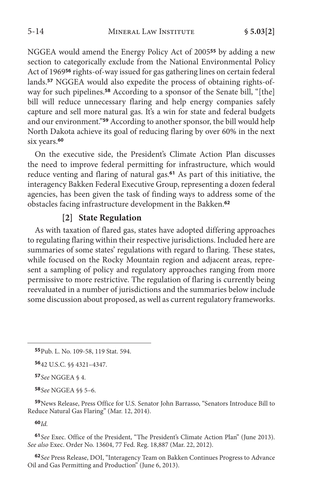NGGEA would amend the Energy Policy Act of 2005**<sup>55</sup>** by adding a new section to categorically exclude from the National Environmental Policy Act of 1969**<sup>56</sup>** rights-of-way issued for gas gathering lines on certain federal lands.**57** NGGEA would also expedite the process of obtaining rights-ofway for such pipelines.**<sup>58</sup>** According to a sponsor of the Senate bill, "[the] bill will reduce unnecessary flaring and help energy companies safely capture and sell more natural gas. It's a win for state and federal budgets and our environment."**<sup>59</sup>** According to another sponsor, the bill would help North Dakota achieve its goal of reducing flaring by over 60% in the next six years.**<sup>60</sup>**

On the executive side, the President's Climate Action Plan discusses the need to improve federal permitting for infrastructure, which would reduce venting and flaring of natural gas.**<sup>61</sup>** As part of this initiative, the interagency Bakken Federal Executive Group, representing a dozen federal agencies, has been given the task of finding ways to address some of the obstacles facing infrastructure development in the Bakken.**<sup>62</sup>**

# **[2] State Regulation**

As with taxation of flared gas, states have adopted differing approaches to regulating flaring within their respective jurisdictions. Included here are summaries of some states' regulations with regard to flaring. These states, while focused on the Rocky Mountain region and adjacent areas, represent a sampling of policy and regulatory approaches ranging from more permissive to more restrictive. The regulation of flaring is currently being reevaluated in a number of jurisdictions and the summaries below include some discussion about proposed, as well as current regulatory frameworks.

**<sup>58</sup>***See* NGGEA §§ 5–6.

**<sup>59</sup>**News Release, Press Office for U.S. Senator John Barrasso, "Senators Introduce Bill to Reduce Natural Gas Flaring" (Mar. 12, 2014).

**<sup>60</sup>***Id.*

**<sup>61</sup>***See* Exec. Office of the President, "The President's Climate Action Plan" (June 2013). *See also* Exec. Order No. 13604, 77 Fed. Reg. 18,887 (Mar. 22, 2012).

**<sup>62</sup>***See* Press Release, DOI, "Interagency Team on Bakken Continues Progress to Advance Oil and Gas Permitting and Production" (June 6, 2013).

**<sup>55</sup>**Pub. L. No. 109-58, 119 Stat. 594.

**<sup>56</sup>**42 U.S.C. §§ 4321–4347.

**<sup>57</sup>***See* NGGEA § 4.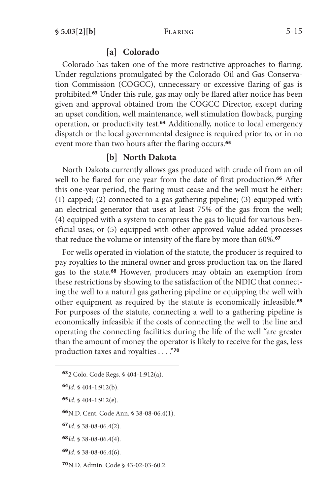#### **[a] Colorado**

Colorado has taken one of the more restrictive approaches to flaring. Under regulations promulgated by the Colorado Oil and Gas Conservation Commission (COGCC), unnecessary or excessive flaring of gas is prohibited.**<sup>63</sup>** Under this rule, gas may only be flared after notice has been given and approval obtained from the COGCC Director, except during an upset condition, well maintenance, well stimulation flowback, purging operation, or productivity test.**<sup>64</sup>** Additionally, notice to local emergency dispatch or the local governmental designee is required prior to, or in no event more than two hours after the flaring occurs.**<sup>65</sup>**

#### **[b] North Dakota**

North Dakota currently allows gas produced with crude oil from an oil well to be flared for one year from the date of first production.**<sup>66</sup>** After this one-year period, the flaring must cease and the well must be either: (1) capped; (2) connected to a gas gathering pipeline; (3) equipped with an electrical generator that uses at least 75% of the gas from the well; (4) equipped with a system to compress the gas to liquid for various beneficial uses; or (5) equipped with other approved value-added processes that reduce the volume or intensity of the flare by more than 60%.**<sup>67</sup>**

For wells operated in violation of the statute, the producer is required to pay royalties to the mineral owner and gross production tax on the flared gas to the state.**<sup>68</sup>** However, producers may obtain an exemption from these restrictions by showing to the satisfaction of the NDIC that connecting the well to a natural gas gathering pipeline or equipping the well with other equipment as required by the statute is economically infeasible.**<sup>69</sup>** For purposes of the statute, connecting a well to a gathering pipeline is economically infeasible if the costs of connecting the well to the line and operating the connecting facilities during the life of the well "are greater than the amount of money the operator is likely to receive for the gas, less production taxes and royalties . . . ."**<sup>70</sup>**

- **<sup>64</sup>***Id.* § 404-1:912(b).
- **<sup>65</sup>***Id.* § 404-1:912(e).
- **<sup>66</sup>**N.D. Cent. Code Ann. § 38-08-06.4(1).
- **<sup>67</sup>***Id.* § 38-08-06.4(2).
- **<sup>68</sup>***Id.* § 38-08-06.4(4).
- **<sup>69</sup>***Id.* § 38-08-06.4(6).
- **<sup>70</sup>**N.D. Admin. Code § 43-02-03-60.2.

**<sup>63</sup>**2 Colo. Code Regs. § 404-1:912(a).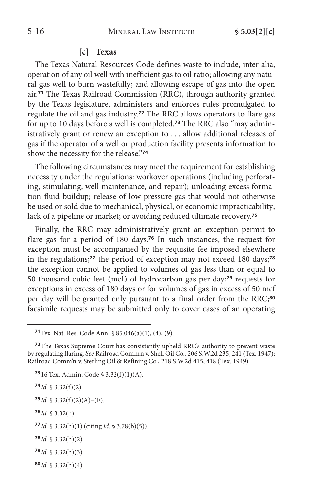#### **[c] Texas**

The Texas Natural Resources Code defines waste to include, inter alia, operation of any oil well with inefficient gas to oil ratio; allowing any natural gas well to burn wastefully; and allowing escape of gas into the open air.**<sup>71</sup>** The Texas Railroad Commission (RRC), through authority granted by the Texas legislature, administers and enforces rules promulgated to regulate the oil and gas industry.**<sup>72</sup>** The RRC allows operators to flare gas for up to 10 days before a well is completed.**73** The RRC also "may administratively grant or renew an exception to . . . allow additional releases of gas if the operator of a well or production facility presents information to show the necessity for the release."**<sup>74</sup>**

The following circumstances may meet the requirement for establishing necessity under the regulations: workover operations (including perforating, stimulating, well maintenance, and repair); unloading excess formation fluid buildup; release of low-pressure gas that would not otherwise be used or sold due to mechanical, physical, or economic impracticability; lack of a pipeline or market; or avoiding reduced ultimate recovery.**<sup>75</sup>**

Finally, the RRC may administratively grant an exception permit to flare gas for a period of 180 days.**<sup>76</sup>** In such instances, the request for exception must be accompanied by the requisite fee imposed elsewhere in the regulations;**<sup>77</sup>** the period of exception may not exceed 180 days;**<sup>78</sup>** the exception cannot be applied to volumes of gas less than or equal to 50 thousand cubic feet (mcf) of hydrocarbon gas per day;**<sup>79</sup>** requests for exceptions in excess of 180 days or for volumes of gas in excess of 50 mcf per day will be granted only pursuant to a final order from the RRC;**<sup>80</sup>** facsimile requests may be submitted only to cover cases of an operating

**<sup>73</sup>**16 Tex. Admin. Code § 3.32(f)(1)(A).

**<sup>74</sup>***Id.* § 3.32(f)(2).

**<sup>75</sup>***Id.* § 3.32(f)(2)(A)–(E).

**<sup>76</sup>***Id.* § 3.32(h).

**<sup>77</sup>***Id.* § 3.32(h)(1) (citing *id.* § 3.78(b)(5)).

**<sup>78</sup>***Id.* § 3.32(h)(2).

**<sup>79</sup>***Id.* § 3.32(h)(3).

**<sup>80</sup>***Id.* § 3.32(h)(4).

**<sup>71</sup>**Tex. Nat. Res. Code Ann. § 85.046(a)(1), (4), (9).

**<sup>72</sup>**The Texas Supreme Court has consistently upheld RRC's authority to prevent waste by regulating flaring. *See* Railroad Comm'n v. Shell Oil Co., 206 S.W.2d 235, 241 (Tex. 1947); Railroad Comm'n v. Sterling Oil & Refining Co., 218 S.W.2d 415, 418 (Tex. 1949).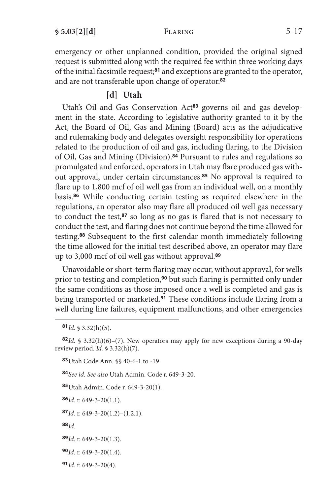emergency or other unplanned condition, provided the original signed request is submitted along with the required fee within three working days of the initial facsimile request;**<sup>81</sup>** and exceptions are granted to the operator, and are not transferable upon change of operator.**<sup>82</sup>**

# **[d] Utah**

Utah's Oil and Gas Conservation Act**83** governs oil and gas development in the state. According to legislative authority granted to it by the Act, the Board of Oil, Gas and Mining (Board) acts as the adjudicative and rulemaking body and delegates oversight responsibility for operations related to the production of oil and gas, including flaring, to the Division of Oil, Gas and Mining (Division).**<sup>84</sup>** Pursuant to rules and regulations so promulgated and enforced, operators in Utah may flare produced gas without approval, under certain circumstances.**<sup>85</sup>** No approval is required to flare up to 1,800 mcf of oil well gas from an individual well, on a monthly basis.**<sup>86</sup>** While conducting certain testing as required elsewhere in the regulations, an operator also may flare all produced oil well gas necessary to conduct the test,**<sup>87</sup>** so long as no gas is flared that is not necessary to conduct the test, and flaring does not continue beyond the time allowed for testing.**<sup>88</sup>** Subsequent to the first calendar month immediately following the time allowed for the initial test described above, an operator may flare up to 3,000 mcf of oil well gas without approval.**<sup>89</sup>**

Unavoidable or short-term flaring may occur, without approval, for wells prior to testing and completion,**<sup>90</sup>** but such flaring is permitted only under the same conditions as those imposed once a well is completed and gas is being transported or marketed.**<sup>91</sup>** These conditions include flaring from a well during line failures, equipment malfunctions, and other emergencies

**<sup>83</sup>**Utah Code Ann. §§ 40-6-1 to -19.

**<sup>84</sup>***See id. See also* Utah Admin. Code r. 649-3-20.

**<sup>85</sup>**Utah Admin. Code r. 649-3-20(1).

**<sup>86</sup>***Id.* r. 649-3-20(1.1).

**<sup>87</sup>***Id.* r. 649-3-20(1.2)–(1.2.1).

**<sup>88</sup>***Id.*

**<sup>89</sup>***Id.* r. 649-3-20(1.3).

**<sup>90</sup>***Id.* r. 649-3-20(1.4).

**<sup>91</sup>***Id.* r. 649-3-20(4).

**<sup>81</sup>***Id.* § 3.32(h)(5).

**<sup>82</sup>***Id.* § 3.32(h)(6)–(7). New operators may apply for new exceptions during a 90-day review period. *Id.* § 3.32(h)(7).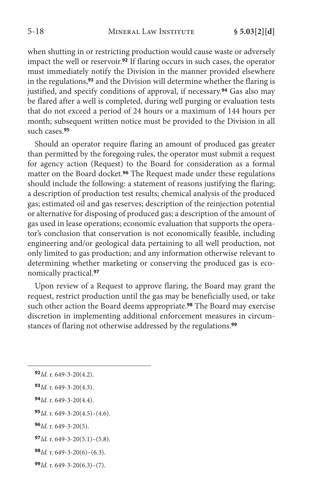when shutting in or restricting production would cause waste or adversely impact the well or reservoir.**<sup>92</sup>** If flaring occurs in such cases, the operator must immediately notify the Division in the manner provided elsewhere in the regulations,**<sup>93</sup>** and the Division will determine whether the flaring is justified, and specify conditions of approval, if necessary.**<sup>94</sup>** Gas also may be flared after a well is completed, during well purging or evaluation tests that do not exceed a period of 24 hours or a maximum of 144 hours per month; subsequent written notice must be provided to the Division in all such cases.**<sup>95</sup>**

Should an operator require flaring an amount of produced gas greater than permitted by the foregoing rules, the operator must submit a request for agency action (Request) to the Board for consideration as a formal matter on the Board docket.**<sup>96</sup>** The Request made under these regulations should include the following: a statement of reasons justifying the flaring; a description of production test results; chemical analysis of the produced gas; estimated oil and gas reserves; description of the reinjection potential or alternative for disposing of produced gas; a description of the amount of gas used in lease operations; economic evaluation that supports the operator's conclusion that conservation is not economically feasible, including engineering and/or geological data pertaining to all well production, not only limited to gas production; and any information otherwise relevant to determining whether marketing or conserving the produced gas is economically practical.**<sup>97</sup>**

Upon review of a Request to approve flaring, the Board may grant the request, restrict production until the gas may be beneficially used, or take such other action the Board deems appropriate.**<sup>98</sup>** The Board may exercise discretion in implementing additional enforcement measures in circumstances of flaring not otherwise addressed by the regulations.**<sup>99</sup>**

**<sup>96</sup>***Id.* r. 649-3-20(5).

- **<sup>98</sup>***Id.* r. 649-3-20(6)–(6.3).
- **<sup>99</sup>***Id.* r. 649-3-20(6.3)–(7).

**<sup>92</sup>***Id.* r. 649-3-20(4.2).

**<sup>93</sup>***Id.* r. 649-3-20(4.3).

**<sup>94</sup>***Id.* r. 649-3-20(4.4).

**<sup>95</sup>***Id.* r. 649-3-20(4.5)–(4.6).

**<sup>97</sup>***Id.* r. 649-3-20(5.1)–(5.8).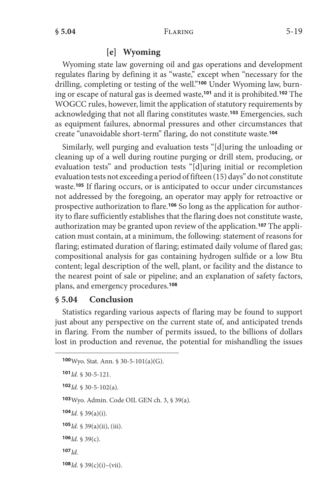### **[e] Wyoming**

Wyoming state law governing oil and gas operations and development regulates flaring by defining it as "waste," except when "necessary for the drilling, completing or testing of the well."**100** Under Wyoming law, burning or escape of natural gas is deemed waste,**<sup>101</sup>** and it is prohibited.**<sup>102</sup>** The WOGCC rules, however, limit the application of statutory requirements by acknowledging that not all flaring constitutes waste.**<sup>103</sup>** Emergencies, such as equipment failures, abnormal pressures and other circumstances that create "unavoidable short-term" flaring, do not constitute waste.**<sup>104</sup>**

Similarly, well purging and evaluation tests "[d]uring the unloading or cleaning up of a well during routine purging or drill stem, producing, or evaluation tests" and production tests "[d]uring initial or recompletion evaluation tests not exceeding a period of fifteen (15) days" do not constitute waste.**<sup>105</sup>** If flaring occurs, or is anticipated to occur under circumstances not addressed by the foregoing, an operator may apply for retroactive or prospective authorization to flare.**106** So long as the application for authority to flare sufficiently establishes that the flaring does not constitute waste, authorization may be granted upon review of the application.**107** The application must contain, at a minimum, the following: statement of reasons for flaring; estimated duration of flaring; estimated daily volume of flared gas; compositional analysis for gas containing hydrogen sulfide or a low Btu content; legal description of the well, plant, or facility and the distance to the nearest point of sale or pipeline; and an explanation of safety factors, plans, and emergency procedures.**<sup>108</sup>**

## **§ 5.04 Conclusion**

Statistics regarding various aspects of flaring may be found to support just about any perspective on the current state of, and anticipated trends in flaring. From the number of permits issued, to the billions of dollars lost in production and revenue, the potential for mishandling the issues

```
100Wyo. Stat. Ann. § 30-5-101(a)(G).
101Id. § 30-5-121.
102Id. § 30-5-102(a).
103Wyo. Admin. Code OIL GEN ch. 3, § 39(a).
104Id. § 39(a)(i).
105Id. § 39(a)(ii), (iii).
106Id. § 39(c).
107Id.
108Id. § 39(c)(i)–(vii).
```